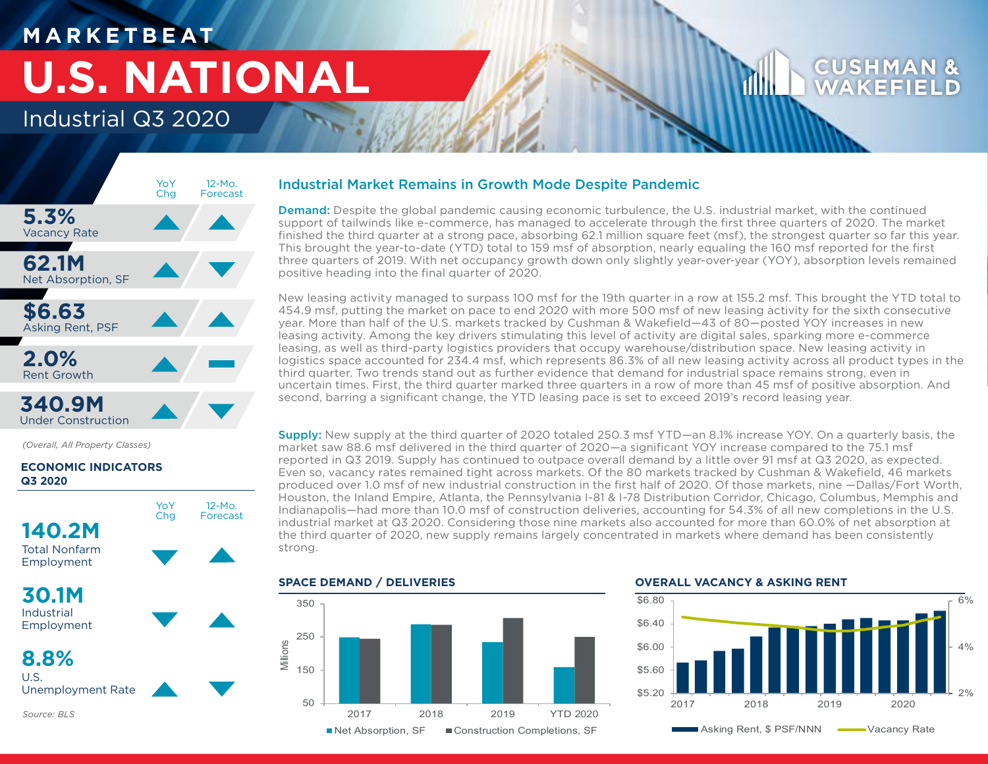## **M A R K E T B E AT**

# **U.S. NATIONAL**

## Industrial Q3 2020



*(Overall, All Property Classes)*

## **ECONOMIC INDICATORS Q3 2020**



## Industrial Market Remains in Growth Mode Despite Pandemic

**Demand:** Despite the global pandemic causing economic turbulence, the U.S. industrial market, with the continued support of tailwinds like e-commerce, has managed to accelerate through the first three quarters of 2020. The market finished the third quarter at a strong pace, absorbing 62.1 million square feet (msf), the strongest quarter so far this year. This brought the year-to-date (YTD) total to 159 msf of absorption, nearly equaling the 160 msf reported for the first three quarters of 2019. With net occupancy growth down only slightly year-over-year (YOY), absorption levels remained positive heading into the final quarter of 2020.

New leasing activity managed to surpass 100 msf for the 19th quarter in a row at 155.2 msf. This brought the YTD total to 454.9 msf, putting the market on pace to end 2020 with more 500 msf of new leasing activity for the sixth consecutive year. More than half of the U.S. markets tracked by Cushman & Wakefield—43 of 80—posted YOY increases in new leasing activity. Among the key drivers stimulating this level of activity are digital sales, sparking more e-commerce leasing, as well as third-party logistics providers that occupy warehouse/distribution space. New leasing activity in logistics space accounted for 234.4 msf, which represents 86.3% of all new leasing activity across all product types in the third quarter. Two trends stand out as further evidence that demand for industrial space remains strong, even in uncertain times. First, the third quarter marked three quarters in a row of more than 45 msf of positive absorption. And second, barring a significant change, the YTD leasing pace is set to exceed 2019's record leasing year.

Supply: New supply at the third quarter of 2020 totaled 250.3 msf YTD—an 8.1% increase YOY. On a quarterly basis, the market saw 88.6 msf delivered in the third quarter of 2020—a significant YOY increase compared to the 75.1 msf reported in Q3 2019. Supply has continued to outpace overall demand by a little over 91 msf at Q3 2020, as expected. Even so, vacancy rates remained tight across markets. Of the 80 markets tracked by Cushman & Wakefield, 46 markets produced over 1.0 msf of new industrial construction in the first half of 2020. Of those markets, nine —Dallas/Fort Worth, Houston, the Inland Empire, Atlanta, the Pennsylvania I-81 & I-78 Distribution Corridor, Chicago, Columbus, Memphis and Indianapolis—had more than 10.0 msf of construction deliveries, accounting for 54.3% of all new completions in the U.S. industrial market at Q3 2020. Considering those nine markets also accounted for more than 60.0% of net absorption at the third quarter of 2020, new supply remains largely concentrated in markets where demand has been consistently strong.



## **OVERALL VACANCY & ASKING RENT**

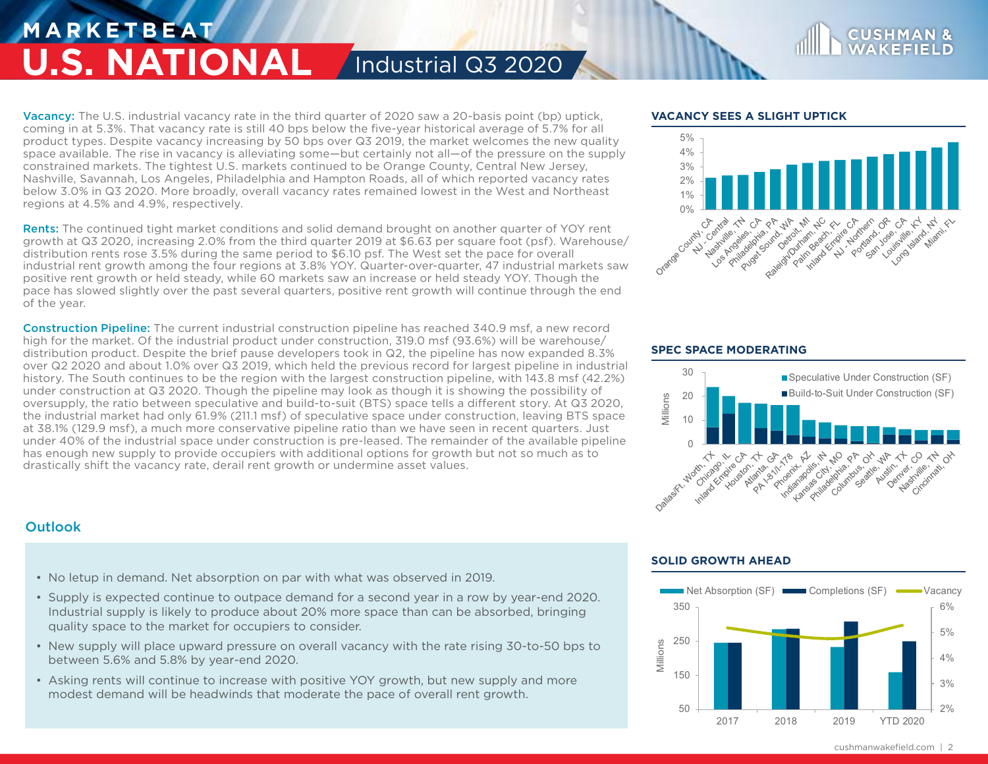## **M A R K E T B E AT U.S. NATIONAL** / Industrial Q3 2020

**Vacancy:** The U.S. industrial vacancy rate in the third quarter of 2020 saw a 20-basis point (bp) uptick, coming in at 5.3%. That vacancy rate is still 40 bps below the five-year historical average of 5.7% for all product types. Despite vacancy increasing by 50 bps over Q3 2019, the market welcomes the new quality space available. The rise in vacancy is alleviating some—but certainly not all—of the pressure on the supply constrained markets. The tightest U.S. markets continued to be Orange County, Central New Jersey, Nashville, Savannah, Los Angeles, Philadelphia and Hampton Roads, all of which reported vacancy rates below 3.0% in Q3 2020. More broadly, overall vacancy rates remained lowest in the West and Northeast regions at 4.5% and 4.9%, respectively.

Rents: The continued tight market conditions and solid demand brought on another quarter of YOY rent growth at Q3 2020, increasing 2.0% from the third quarter 2019 at \$6.63 per square foot (psf). Warehouse/ distribution rents rose 3.5% during the same period to \$6.10 psf. The West set the pace for overall industrial rent growth among the four regions at 3.8% YOY. Quarter-over-quarter, 47 industrial markets saw positive rent growth or held steady, while 60 markets saw an increase or held steady YOY. Though the pace has slowed slightly over the past several quarters, positive rent growth will continue through the end of the year.

Construction Pipeline: The current industrial construction pipeline has reached 340.9 msf, a new record high for the market. Of the industrial product under construction, 319.0 msf (93.6%) will be warehouse/ distribution product. Despite the brief pause developers took in Q2, the pipeline has now expanded 8.3% over Q2 2020 and about 1.0% over Q3 2019, which held the previous record for largest pipeline in industrial history. The South continues to be the region with the largest construction pipeline, with 143.8 msf (42.2%) under construction at Q3 2020. Though the pipeline may look as though it is showing the possibility of oversupply, the ratio between speculative and build-to-suit (BTS) space tells a different story. At Q3 2020, the industrial market had only 61.9% (211.1 msf) of speculative space under construction, leaving BTS space at 38.1% (129.9 msf), a much more conservative pipeline ratio than we have seen in recent quarters. Just under 40% of the industrial space under construction is pre-leased. The remainder of the available pipeline has enough new supply to provide occupiers with additional options for growth but not so much as to drastically shift the vacancy rate, derail rent growth or undermine asset values.

### **VACANCY SEES A SLIGHT UPTICK**



**CUSHMA** 

### **SPEC SPACE MODERATING**



## **Outlook**

- No letup in demand. Net absorption on par with what was observed in 2019.
- Supply is expected continue to outpace demand for a second year in a row by year-end 2020. Industrial supply is likely to produce about 20% more space than can be absorbed, bringing quality space to the market for occupiers to consider.
- New supply will place upward pressure on overall vacancy with the rate rising 30-to-50 bps to between 5.6% and 5.8% by year-end 2020.
- Asking rents will continue to increase with positive YOY growth, but new supply and more modest demand will be headwinds that moderate the pace of overall rent growth.

## **SOLID GROWTH AHEAD**



cushmanwakefield.com | 2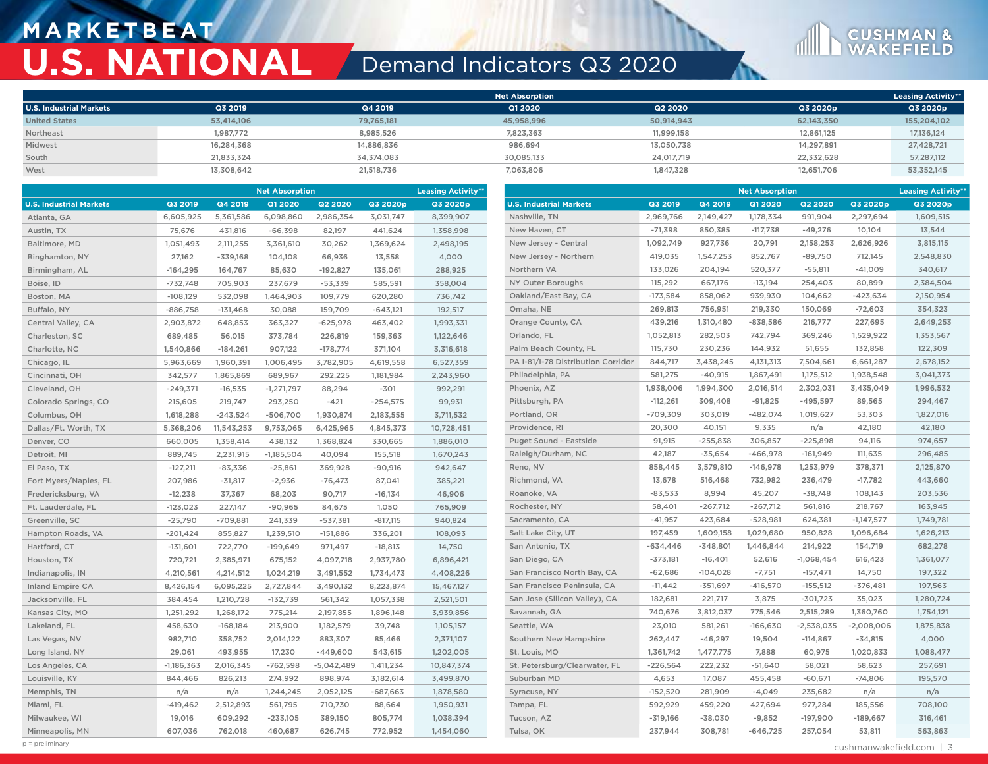## **M A R K E T B E AT U.S. NATIONAL** Demand Indicators Q3 2020



|                                |            |            | <b>Net Absorption</b> |            |            | <b>Leasing Activity**</b> |
|--------------------------------|------------|------------|-----------------------|------------|------------|---------------------------|
| <b>U.S. Industrial Markets</b> | Q3 2019    | Q4 2019    | Q1 2020               | Q2 2020    | Q3 2020p   | Q3 2020p                  |
| <b>United States</b>           | 53,414,106 | 79,765,181 | 45,958,996            | 50,914,943 | 62,143,350 | 155,204,102               |
| Northeast                      | 1,987,772  | 8.985.526  | 7.823.363             | 11,999,158 | 12.861.125 | 17,136,124                |
| Midwest                        | 16.284.368 | 14,886,836 | 986.694               | 13,050,738 | 14.297.891 | 27,428,721                |
| South                          | 21.833.324 | 34,374,083 | 30.085.133            | 24,017,719 | 22.332.628 | 57,287,112                |
| West                           | 13,308,642 | 21,518,736 | 7,063,806             | 1,847,328  | 12,651,706 | 53,352,145                |

|                                | <b>Net Absorption</b> |            |              | <b>Leasing Activity**</b> |            |            | <b>Net Absorption</b>              |            |            |                |                | <b>Leasing Activity**</b> |           |
|--------------------------------|-----------------------|------------|--------------|---------------------------|------------|------------|------------------------------------|------------|------------|----------------|----------------|---------------------------|-----------|
| <b>U.S. Industrial Markets</b> | Q3 2019               | Q4 2019    | Q1 2020      | <b>Q2 2020</b>            | Q3 2020p   | Q3 2020p   | <b>U.S. Industrial Markets</b>     | Q3 2019    | Q4 2019    | <b>Q1 2020</b> | <b>Q2 2020</b> | Q3 2020p                  | Q3 2020p  |
| Atlanta, GA                    | 6,605,925             | 5,361,586  | 6,098,860    | 2,986,354                 | 3,031,747  | 8,399,907  | Nashville, TN                      | 2,969,766  | 2,149,427  | 1,178,334      | 991,904        | 2,297,694                 | 1,609,515 |
| Austin, TX                     | 75,676                | 431,816    | $-66,398$    | 82,197                    | 441,624    | 1,358,998  | New Haven, CT                      | $-71,398$  | 850,385    | $-117,738$     | $-49,276$      | 10,104                    | 13,544    |
| Baltimore, MD                  | 1,051,493             | 2,111,255  | 3,361,610    | 30,262                    | 1,369,624  | 2,498,195  | New Jersey - Central               | 1,092,749  | 927,736    | 20,791         | 2,158,253      | 2,626,926                 | 3,815,115 |
| Binghamton, NY                 | 27,162                | $-339,168$ | 104,108      | 66,936                    | 13,558     | 4,000      | New Jersey - Northern              | 419,035    | 1,547,253  | 852,767        | $-89,750$      | 712,145                   | 2,548,830 |
| Birmingham, AL                 | $-164,295$            | 164,767    | 85,630       | $-192,827$                | 135,061    | 288,925    | Northern VA                        | 133,026    | 204,194    | 520,377        | $-55,811$      | $-41,009$                 | 340,617   |
| Boise, ID                      | $-732,748$            | 705,903    | 237,679      | $-53,339$                 | 585,591    | 358,004    | NY Outer Boroughs                  | 115,292    | 667,176    | $-13,194$      | 254,403        | 80,899                    | 2,384,504 |
| Boston, MA                     | $-108,129$            | 532,098    | 1,464,903    | 109,779                   | 620,280    | 736,742    | Oakland/East Bay, CA               | $-173,584$ | 858,062    | 939,930        | 104,662        | $-423,634$                | 2,150,954 |
| Buffalo, NY                    | $-886,758$            | $-131,468$ | 30,088       | 159,709                   | $-643,121$ | 192,517    | Omaha, NE                          | 269,813    | 756,951    | 219,330        | 150,069        | $-72,603$                 | 354,323   |
| Central Valley, CA             | 2,903,872             | 648,853    | 363,327      | $-625,978$                | 463,402    | 1,993,331  | Orange County, CA                  | 439,216    | 1,310,480  | $-838,586$     | 216,777        | 227,695                   | 2,649,253 |
| Charleston, SC                 | 689,485               | 56,015     | 373,784      | 226,819                   | 159,363    | 1,122,646  | Orlando, FL                        | 1,052,813  | 282,503    | 742,794        | 369,246        | 1,529,922                 | 1,353,567 |
| Charlotte, NC                  | 1,540,866             | $-184,261$ | 907,122      | $-178,774$                | 371,104    | 3,316,618  | Palm Beach County, FL              | 115,730    | 230,236    | 144,932        | 51,655         | 132,858                   | 122,309   |
| Chicago, IL                    | 5,963,669             | 1,960,391  | 1,006,495    | 3,782,905                 | 4,619,558  | 6,527,359  | PA I-81/I-78 Distribution Corridor | 844,717    | 3,438,245  | 4,131,313      | 7,504,661      | 6,661,287                 | 2,678,152 |
| Cincinnati, OH                 | 342,577               | 1,865,869  | 689,967      | 292,225                   | 1,181,984  | 2,243,960  | Philadelphia, PA                   | 581,275    | $-40,915$  | 1,867,491      | 1,175,512      | 1,938,548                 | 3,041,373 |
| Cleveland, OH                  | $-249,371$            | $-16,535$  | $-1,271,797$ | 88,294                    | $-301$     | 992,291    | Phoenix, AZ                        | 1,938,006  | 1,994,300  | 2,016,514      | 2,302,031      | 3,435,049                 | 1,996,532 |
| Colorado Springs, CO           | 215,605               | 219,747    | 293,250      | $-421$                    | $-254,575$ | 99,931     | Pittsburgh, PA                     | $-112,261$ | 309,408    | $-91,825$      | $-495,597$     | 89,565                    | 294,467   |
| Columbus, OH                   | 1,618,288             | $-243,524$ | $-506,700$   | 1,930,874                 | 2,183,555  | 3,711,532  | Portland, OR                       | $-709,309$ | 303,019    | $-482,074$     | 1,019,627      | 53,303                    | 1,827,016 |
| Dallas/Ft. Worth, TX           | 5,368,206             | 11,543,253 | 9,753,065    | 6,425,965                 | 4,845,373  | 10,728,451 | Providence, RI                     | 20,300     | 40,151     | 9,335          | n/a            | 42,180                    | 42,180    |
| Denver, CO                     | 660,005               | 1,358,414  | 438,132      | 1,368,824                 | 330,665    | 1,886,010  | Puget Sound - Eastside             | 91,915     | $-255,838$ | 306,857        | $-225,898$     | 94,116                    | 974,657   |
| Detroit, MI                    | 889,745               | 2,231,915  | $-1,185,504$ | 40,094                    | 155,518    | 1,670,243  | Raleigh/Durham, NC                 | 42,187     | $-35,654$  | $-466,978$     | $-161,949$     | 111,635                   | 296,485   |
| El Paso, TX                    | $-127,211$            | $-83,336$  | $-25,861$    | 369,928                   | $-90,916$  | 942,647    | Reno, NV                           | 858,445    | 3,579,810  | $-146,978$     | 1,253,979      | 378,371                   | 2,125,870 |
| Fort Myers/Naples, FL          | 207,986               | $-31,817$  | $-2,936$     | $-76,473$                 | 87,041     | 385,221    | Richmond, VA                       | 13,678     | 516,468    | 732,982        | 236,479        | $-17,782$                 | 443,660   |
| Fredericksburg, VA             | $-12,238$             | 37,367     | 68,203       | 90,717                    | $-16,134$  | 46,906     | Roanoke, VA                        | $-83,533$  | 8,994      | 45,207         | $-38,748$      | 108,143                   | 203,536   |
| Ft. Lauderdale, FL             | $-123,023$            | 227,147    | $-90,965$    | 84,675                    | 1,050      | 765,909    | Rochester, NY                      | 58,401     | $-267,712$ | $-267,712$     | 561,816        | 218,767                   | 163,945   |
| Greenville, SC                 | $-25,790$             | $-709,881$ | 241,339      | $-537,381$                | $-817,115$ | 940,824    | Sacramento, CA                     | $-41,957$  | 423,684    | $-528,981$     | 624,381        | $-1,147,577$              | 1,749,781 |
| Hampton Roads, VA              | $-201,424$            | 855,827    | 1,239,510    | $-151,886$                | 336,201    | 108,093    | Salt Lake City, UT                 | 197,459    | 1,609,158  | 1,029,680      | 950,828        | 1,096,684                 | 1,626,213 |
| Hartford, CT                   | $-131,601$            | 722,770    | $-199,649$   | 971,497                   | $-18,813$  | 14,750     | San Antonio, TX                    | $-634,446$ | $-348,801$ | 1,446,844      | 214,922        | 154,719                   | 682,278   |
| Houston, TX                    | 720,721               | 2,385,971  | 675,152      | 4,097,718                 | 2,937,780  | 6,896,421  | San Diego, CA                      | $-373,181$ | $-16,401$  | 52,616         | $-1,068,454$   | 616,423                   | 1,361,077 |
| Indianapolis, IN               | 4,210,561             | 4,214,512  | 1,024,219    | 3,491,552                 | 1,734,473  | 4,408,226  | San Francisco North Bay, CA        | $-62,686$  | $-104,028$ | $-7,751$       | $-157,471$     | 14,750                    | 197,322   |
| <b>Inland Empire CA</b>        | 8,426,154             | 6,095,225  | 2,727,844    | 3,490,132                 | 8,223,874  | 15,467,127 | San Francisco Peninsula, CA        | $-11,442$  | $-351,697$ | $-416,570$     | $-155,512$     | $-376,481$                | 197,563   |
| Jacksonville, FL               | 384,454               | 1,210,728  | $-132,739$   | 561,342                   | 1,057,338  | 2,521,501  | San Jose (Silicon Valley), CA      | 182,681    | 221,717    | 3,875          | $-301,723$     | 35,023                    | 1,280,724 |
| Kansas City, MO                | 1,251,292             | 1,268,172  | 775,214      | 2,197,855                 | 1,896,148  | 3,939,856  | Savannah, GA                       | 740,676    | 3,812,037  | 775,546        | 2,515,289      | 1,360,760                 | 1,754,121 |
| Lakeland, FL                   | 458,630               | $-168,184$ | 213,900      | 1,182,579                 | 39,748     | 1,105,157  | Seattle, WA                        | 23,010     | 581,261    | $-166,630$     | $-2,538,035$   | $-2,008,006$              | 1,875,838 |
| Las Vegas, NV                  | 982,710               | 358,752    | 2,014,122    | 883,307                   | 85,466     | 2,371,107  | Southern New Hampshire             | 262,447    | $-46,297$  | 19,504         | $-114,867$     | $-34,815$                 | 4,000     |
| Long Island, NY                | 29,061                | 493,955    | 17,230       | $-449,600$                | 543,615    | 1,202,005  | St. Louis, MO                      | 1,361,742  | 1,477,775  | 7,888          | 60,975         | 1,020,833                 | 1,088,477 |
| Los Angeles, CA                | $-1,186,363$          | 2,016,345  | $-762,598$   | $-5,042,489$              | 1,411,234  | 10,847,374 | St. Petersburg/Clearwater, FL      | $-226,564$ | 222,232    | $-51,640$      | 58,021         | 58,623                    | 257,691   |
| Louisville, KY                 | 844,466               | 826,213    | 274,992      | 898,974                   | 3,182,614  | 3,499,870  | Suburban MD                        | 4,653      | 17,087     | 455,458        | $-60,671$      | $-74,806$                 | 195,570   |
| Memphis, TN                    | n/a                   | n/a        | 1,244,245    | 2,052,125                 | $-687,663$ | 1,878,580  | Syracuse, NY                       | $-152,520$ | 281,909    | $-4,049$       | 235,682        | n/a                       | n/a       |
| Miami, FL                      | $-419,462$            | 2,512,893  | 561,795      | 710,730                   | 88,664     | 1,950,931  | Tampa, FL                          | 592,929    | 459,220    | 427,694        | 977,284        | 185,556                   | 708,100   |
| Milwaukee, WI                  | 19,016                | 609,292    | $-233,105$   | 389,150                   | 805,774    | 1,038,394  | Tucson, AZ                         | $-319,166$ | $-38,030$  | $-9,852$       | $-197,900$     | $-189,667$                | 316,461   |
| Minneapolis, MN                | 607,036               | 762,018    | 460,687      | 626,745                   | 772,952    | 1,454,060  | Tulsa, OK                          | 237,944    | 308,781    | $-646,725$     | 257,054        | 53,811                    | 563,863   |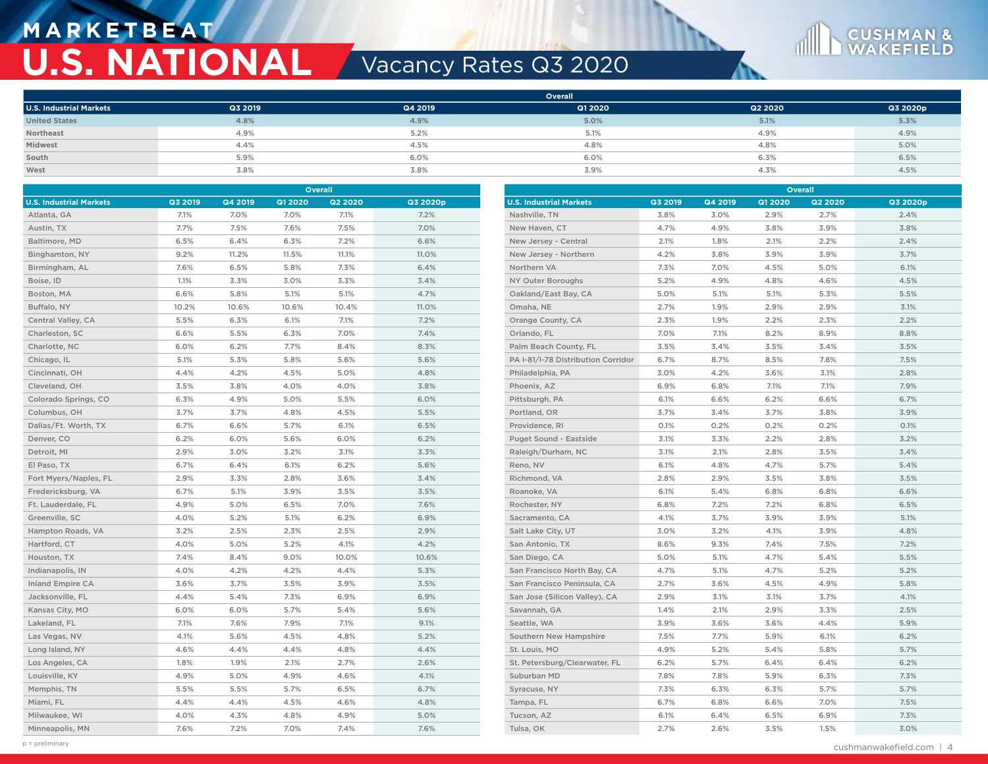## **M A R K E T B E AT U.S. NATIONAL Vacancy Rates Q3 2020**



|                                | <b>Overall</b> |         |         |         |          |  |  |  |
|--------------------------------|----------------|---------|---------|---------|----------|--|--|--|
| <b>U.S. Industrial Markets</b> | Q3 2019        | Q4 2019 | Q1 2020 | Q2 2020 | Q3 2020p |  |  |  |
| <b>United States</b>           | 4.8%           | 4.9%    | 5.0%    | 5.1%    | 5.3%     |  |  |  |
| Northeast                      | 4.9%           | 5.2%    | 5.1%    | 4.9%    | 4.9%     |  |  |  |
| Midwest                        | 4.4%           | 4.5%    | 4.8%    | 4.8%    | 5.0%     |  |  |  |
| South                          | 5.9%           | 6.0%    | 6.0%    | 6.3%    | 6.5%     |  |  |  |
| West                           | 3.8%           | 3.8%    | 3.9%    | 4.3%    | 4.5%     |  |  |  |

| Overall                        |         |         |         |                |          | Overall                            |         |         |         |                |          |
|--------------------------------|---------|---------|---------|----------------|----------|------------------------------------|---------|---------|---------|----------------|----------|
| <b>U.S. Industrial Markets</b> | Q3 2019 | Q4 2019 | Q1 2020 | <b>Q2 2020</b> | Q3 2020p | <b>U.S. Industrial Markets</b>     | Q3 2019 | Q4 2019 | Q1 2020 | <b>Q2 2020</b> | Q3 2020p |
| Atlanta, GA                    | 7.1%    | 7.0%    | 7.0%    | 7.1%           | 7.2%     | Nashville, TN                      | 3.8%    | 3.0%    | 2.9%    | 2.7%           | 2.4%     |
| Austin, TX                     | 7.7%    | 7.5%    | 7.6%    | 7.5%           | 7.0%     | New Haven, CT                      | 4.7%    | 4.9%    | 3.8%    | 3.9%           | 3.8%     |
| Baltimore, MD                  | 6.5%    | 6.4%    | 6.3%    | 7.2%           | 6.6%     | New Jersey - Central               | 2.1%    | 1.8%    | 2.1%    | 2.2%           | 2.4%     |
| Binghamton, NY                 | 9.2%    | 11.2%   | 11.5%   | 11.1%          | 11.0%    | New Jersey - Northern              | 4.2%    | 3.8%    | 3.9%    | 3.9%           | 3.7%     |
| Birmingham, AL                 | 7.6%    | 6.5%    | 5.8%    | 7.3%           | 6.4%     | Northern VA                        | 7.3%    | 7.0%    | 4.5%    | 5.0%           | 6.1%     |
| Boise, ID                      | 1.1%    | 3.3%    | 3.0%    | 3.3%           | 3.4%     | NY Outer Boroughs                  | 5.2%    | 4.9%    | 4.8%    | 4.6%           | 4.5%     |
| Boston, MA                     | 6.6%    | 5.8%    | 5.1%    | 5.1%           | 4.7%     | Oakland/East Bay, CA               | 5.0%    | 5.1%    | 5.1%    | 5.3%           | 5.5%     |
| Buffalo, NY                    | 10.2%   | 10.6%   | 10.6%   | 10.4%          | 11.0%    | Omaha, NE                          | 2.7%    | 1.9%    | 2.9%    | 2.9%           | 3.1%     |
| Central Valley, CA             | 5.5%    | 6.3%    | 6.1%    | 7.1%           | 7.2%     | Orange County, CA                  | 2.3%    | 1.9%    | 2.2%    | 2.3%           | 2.2%     |
| Charleston, SC                 | 6.6%    | 5.5%    | 6.3%    | 7.0%           | 7.4%     | Orlando, FL                        | 7.0%    | 7.1%    | 8.2%    | 8.9%           | 8.8%     |
| Charlotte, NC                  | 6.0%    | 6.2%    | 7.7%    | 8.4%           | 8.3%     | Palm Beach County, FL              | 3.5%    | 3.4%    | 3.5%    | 3.4%           | 3.5%     |
| Chicago, IL                    | 5.1%    | 5.3%    | 5.8%    | 5.6%           | 5.6%     | PA I-81/I-78 Distribution Corridor | 6.7%    | 8.7%    | 8.5%    | 7.8%           | 7.5%     |
| Cincinnati, OH                 | 4.4%    | 4.2%    | 4.5%    | 5.0%           | 4.8%     | Philadelphia, PA                   | 3.0%    | 4.2%    | 3.6%    | 3.1%           | 2.8%     |
| Cleveland, OH                  | 3.5%    | 3.8%    | 4.0%    | 4.0%           | 3.8%     | Phoenix, AZ                        | 6.9%    | 6.8%    | 7.1%    | 7.1%           | 7.9%     |
| Colorado Springs, CO           | 6.3%    | 4.9%    | 5.0%    | 5.5%           | 6.0%     | Pittsburgh, PA                     | 6.1%    | 6.6%    | 6.2%    | 6.6%           | 6.7%     |
| Columbus, OH                   | 3.7%    | 3.7%    | 4.8%    | 4.5%           | 5.5%     | Portland, OR                       | 3.7%    | 3.4%    | 3.7%    | 3.8%           | 3.9%     |
| Dallas/Ft. Worth, TX           | 6.7%    | 6.6%    | 5.7%    | 6.1%           | 6.5%     | Providence, RI                     | 0.1%    | 0.2%    | 0.2%    | 0.2%           | 0.1%     |
| Denver, CO                     | 6.2%    | 6.0%    | 5.6%    | 6.0%           | 6.2%     | Puget Sound - Eastside             | 3.1%    | 3.3%    | 2.2%    | 2.8%           | 3.2%     |
| Detroit, MI                    | 2.9%    | 3.0%    | 3.2%    | 3.1%           | 3.3%     | Raleigh/Durham, NC                 | 3.1%    | 2.1%    | 2.8%    | 3.5%           | 3.4%     |
| El Paso, TX                    | 6.7%    | 6.4%    | 6.1%    | 6.2%           | 5.6%     | Reno, NV                           | 6.1%    | 4.8%    | 4.7%    | 5.7%           | 5.4%     |
| Fort Myers/Naples, FL          | 2.9%    | 3.3%    | 2.8%    | 3.6%           | 3.4%     | Richmond, VA                       | 2.8%    | 2.9%    | 3.5%    | 3.8%           | 3.5%     |
| Fredericksburg, VA             | 6.7%    | 5.1%    | 3.9%    | 3.5%           | 3.5%     | Roanoke, VA                        | 6.1%    | 5.4%    | 6.8%    | 6.8%           | 6.6%     |
| Ft. Lauderdale, FL             | 4.9%    | 5.0%    | 6.5%    | 7.0%           | 7.6%     | Rochester, NY                      | 6.8%    | 7.2%    | 7.2%    | 6.8%           | 6.5%     |
| Greenville, SC                 | 4.0%    | 5.2%    | 5.1%    | 6.2%           | 6.9%     | Sacramento, CA                     | 4.1%    | 3.7%    | 3.9%    | 3.9%           | 5.1%     |
| Hampton Roads, VA              | 3.2%    | 2.5%    | 2.3%    | 2.5%           | 2.9%     | Salt Lake City, UT                 | 3.0%    | 3.2%    | 4.1%    | 3.9%           | 4.8%     |
| Hartford, CT                   | 4.0%    | 5.0%    | 5.2%    | 4.1%           | 4.2%     | San Antonio, TX                    | 8.6%    | 9.3%    | 7.4%    | 7.5%           | 7.2%     |
| Houston, TX                    | 7.4%    | 8.4%    | 9.0%    | 10.0%          | 10.6%    | San Diego, CA                      | 5.0%    | 5.1%    | 4.7%    | 5.4%           | 5.5%     |
| Indianapolis, IN               | 4.0%    | 4.2%    | 4.2%    | 4.4%           | 5.3%     | San Francisco North Bay, CA        | 4.7%    | 5.1%    | 4.7%    | 5.2%           | 5.2%     |
| <b>Inland Empire CA</b>        | 3.6%    | 3.7%    | 3.5%    | 3.9%           | 3.5%     | San Francisco Peninsula, CA        | 2.7%    | 3.6%    | 4.5%    | 4.9%           | 5.8%     |
| Jacksonville, FL               | 4.4%    | 5.4%    | 7.3%    | 6.9%           | 6.9%     | San Jose (Silicon Valley), CA      | 2.9%    | 3.1%    | 3.1%    | 3.7%           | 4.1%     |
| Kansas City, MO                | 6.0%    | 6.0%    | 5.7%    | 5.4%           | 5.6%     | Savannah, GA                       | 1.4%    | 2.1%    | 2.9%    | 3.3%           | 2.5%     |
| Lakeland, FL                   | 7.1%    | 7.6%    | 7.9%    | 7.1%           | 9.1%     | Seattle, WA                        | 3.9%    | 3.6%    | 3.6%    | 4.4%           | 5.9%     |
| Las Vegas, NV                  | 4.1%    | 5.6%    | 4.5%    | 4.8%           | 5.2%     | Southern New Hampshire             | 7.5%    | 7.7%    | 5.9%    | 6.1%           | 6.2%     |
| Long Island, NY                | 4.6%    | 4.4%    | 4.4%    | 4.8%           | 4.4%     | St. Louis, MO                      | 4.9%    | 5.2%    | 5.4%    | 5.8%           | 5.7%     |
| Los Angeles, CA                | 1.8%    | 1.9%    | 2.1%    | 2.7%           | 2.6%     | St. Petersburg/Clearwater, FL      | 6.2%    | 5.7%    | 6.4%    | 6.4%           | 6.2%     |
| Louisville, KY                 | 4.9%    | 5.0%    | 4.9%    | 4.6%           | 4.1%     | Suburban MD                        | 7.8%    | 7.8%    | 5.9%    | 6.3%           | 7.3%     |
| Memphis, TN                    | 5.5%    | 5.5%    | 5.7%    | 6.5%           | 6.7%     | Syracuse, NY                       | 7.3%    | 6.3%    | 6.3%    | 5.7%           | 5.7%     |
| Miami, FL                      | 4.4%    | 4.4%    | 4.5%    | 4.6%           | 4.8%     | Tampa, FL                          | 6.7%    | 6.8%    | 6.6%    | 7.0%           | 7.5%     |
| Milwaukee, WI                  | 4.0%    | 4.3%    | 4.8%    | 4.9%           | 5.0%     | Tucson, AZ                         | 6.1%    | 6.4%    | 6.5%    | 6.9%           | 7.3%     |
| Minneapolis, MN                | 7.6%    | 7.2%    | 7.0%    | 7.4%           | 7.6%     | Tulsa, OK                          | 2.7%    | 2.6%    | 3.5%    | 1.5%           | 3.0%     |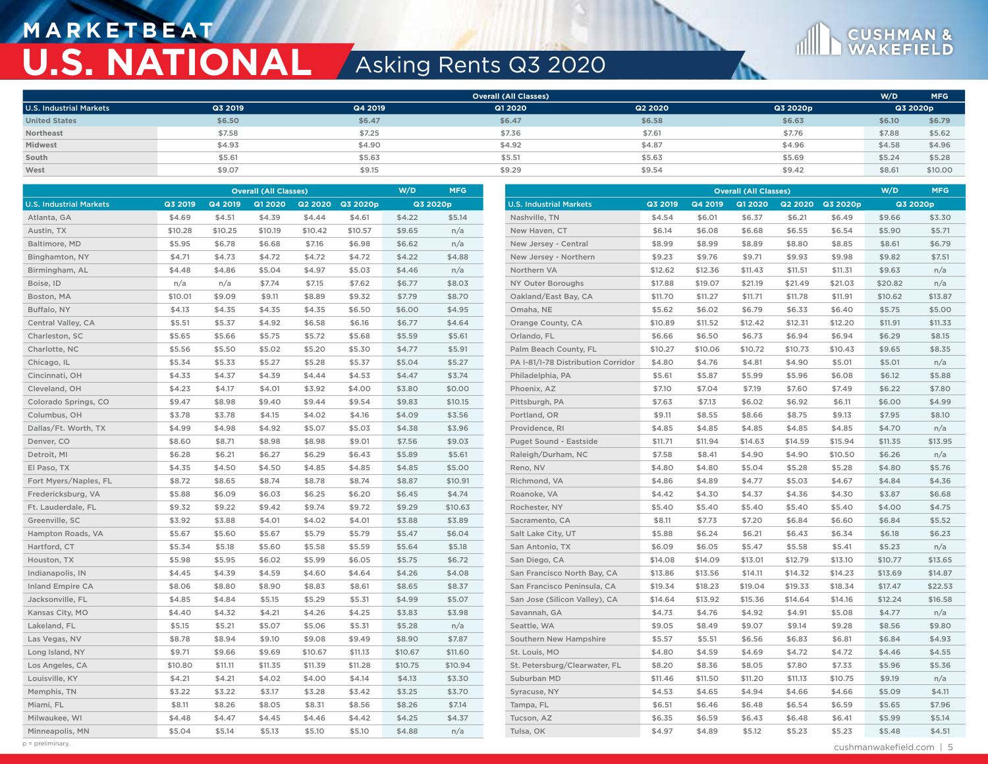## **M A R K E T B E AT U.S. NATIONAL** Asking Rents Q3 2020



|                                |         |         | <b>Overall (All Classes)</b> |         |                  | W/D     | MFG      |                                    |         |         | <b>Overall (All Classes)</b> |         |          | W/D     | <b>MFG</b> |
|--------------------------------|---------|---------|------------------------------|---------|------------------|---------|----------|------------------------------------|---------|---------|------------------------------|---------|----------|---------|------------|
| <b>U.S. Industrial Markets</b> | Q3 2019 | Q4 2019 | Q1 2020                      |         | Q2 2020 Q3 2020p |         | Q3 2020p | <b>U.S. Industrial Markets</b>     | Q3 2019 | Q4 2019 | Q1 20 20                     | Q2 2020 | Q3 2020p |         | Q3 2020p   |
| Atlanta, GA                    | \$4.69  | \$4.51  | \$4.39                       | \$4.44  | \$4.61           | \$4.22  | \$5.14   | Nashville, TN                      | \$4.54  | \$6.01  | \$6.37                       | \$6.21  | \$6.49   | \$9.66  | \$3.30     |
| Austin, TX                     | \$10.28 | \$10.25 | \$10.19                      | \$10.42 | \$10.57          | \$9.65  | n/a      | New Haven, CT                      | \$6.14  | \$6.08  | \$6.68                       | \$6.55  | \$6.54   | \$5.90  | \$5.71     |
| Baltimore, MD                  | \$5.95  | \$6.78  | \$6.68                       | \$7.16  | \$6.98           | \$6.62  | n/a      | New Jersey - Central               | \$8.99  | \$8.99  | \$8.89                       | \$8.80  | \$8.85   | \$8.61  | \$6.79     |
| Binghamton, NY                 | \$4.71  | \$4.73  | \$4.72                       | \$4.72  | \$4.72           | \$4.22  | \$4.88   | New Jersey - Northern              | \$9.23  | \$9.76  | \$9.71                       | \$9.93  | \$9.98   | \$9.82  | \$7.51     |
| Birmingham, AL                 | \$4.48  | \$4.86  | \$5.04                       | \$4.97  | \$5.03           | \$4.46  | n/a      | Northern VA                        | \$12.62 | \$12.36 | \$11.43                      | \$11.51 | \$11.31  | \$9.63  | n/a        |
| Boise, ID                      | n/a     | n/a     | \$7.74                       | \$7.15  | \$7.62           | \$6.77  | \$8.03   | <b>NY Outer Boroughs</b>           | \$17.88 | \$19.07 | \$21.19                      | \$21.49 | \$21.03  | \$20.82 | n/a        |
| Boston, MA                     | \$10.01 | \$9.09  | \$9.11                       | \$8.89  | \$9.32           | \$7.79  | \$8.70   | Oakland/East Bay, CA               | \$11.70 | \$11.27 | \$11.71                      | \$11.78 | \$11.91  | \$10.62 | \$13.87    |
| Buffalo, NY                    | \$4.13  | \$4.35  | \$4.35                       | \$4.35  | \$6.50           | \$6.00  | \$4.95   | Omaha, NE                          | \$5.62  | \$6.02  | \$6.79                       | \$6.33  | \$6.40   | \$5.75  | \$5.00     |
| Central Valley, CA             | \$5.51  | \$5.37  | \$4.92                       | \$6.58  | \$6.16           | \$6.77  | \$4.64   | Orange County, CA                  | \$10.89 | \$11.52 | \$12.42                      | \$12.31 | \$12.20  | \$11.91 | \$11.33    |
| Charleston, SC                 | \$5.65  | \$5.66  | \$5.75                       | \$5.72  | \$5.68           | \$5.59  | \$5.61   | Orlando, FL                        | \$6.66  | \$6.50  | \$6.73                       | \$6.94  | \$6.94   | \$6.29  | \$8.15     |
| Charlotte, NC                  | \$5.56  | \$5.50  | \$5.02                       | \$5.20  | \$5.30           | \$4.77  | \$5.91   | Palm Beach County, FL              | \$10.27 | \$10.06 | \$10.72                      | \$10.73 | \$10.43  | \$9.65  | \$8.35     |
| Chicago, IL                    | \$5.34  | \$5.33  | \$5.27                       | \$5.28  | \$5.37           | \$5.04  | \$5.27   | PA I-81/I-78 Distribution Corridor | \$4.80  | \$4.76  | \$4.81                       | \$4.90  | \$5.01   | \$5.01  | n/a        |
| Cincinnati, OH                 | \$4.33  | \$4.37  | \$4.39                       | \$4.44  | \$4.53           | \$4.47  | \$3.74   | Philadelphia, PA                   | \$5.61  | \$5.87  | \$5.99                       | \$5.96  | \$6.08   | \$6.12  | \$5.88     |
| Cleveland, OH                  | \$4.23  | \$4.17  | \$4.01                       | \$3.92  | \$4.00           | \$3.80  | \$0.00   | Phoenix, AZ                        | \$7.10  | \$7.04  | \$7.19                       | \$7.60  | \$7.49   | \$6.22  | \$7.80     |
| Colorado Springs, CO           | \$9.47  | \$8.98  | \$9.40                       | \$9.44  | \$9.54           | \$9.83  | \$10.15  | Pittsburgh, PA                     | \$7.63  | \$7.13  | \$6.02                       | \$6.92  | \$6.11   | \$6.00  | \$4.99     |
| Columbus, OH                   | \$3.78  | \$3.78  | \$4.15                       | \$4.02  | \$4.16           | \$4.09  | \$3.56   | Portland, OR                       | \$9.11  | \$8.55  | \$8.66                       | \$8.75  | \$9.13   | \$7.95  | \$8.10     |
| Dallas/Ft. Worth, TX           | \$4.99  | \$4.98  | \$4.92                       | \$5.07  | \$5.03           | \$4.38  | \$3.96   | Providence, RI                     | \$4.85  | \$4.85  | \$4.85                       | \$4.85  | \$4.85   | \$4.70  | n/a        |
| Denver, CO                     | \$8.60  | \$8.71  | \$8.98                       | \$8.98  | \$9.01           | \$7.56  | \$9.03   | Puget Sound - Eastside             | \$11.71 | \$11.94 | \$14.63                      | \$14.59 | \$15.94  | \$11.35 | \$13.95    |
| Detroit, MI                    | \$6.28  | \$6.21  | \$6.27                       | \$6.29  | \$6.43           | \$5.89  | \$5.61   | Raleigh/Durham, NC                 | \$7.58  | \$8.41  | \$4.90                       | \$4.90  | \$10.50  | \$6.26  | n/a        |
| El Paso, TX                    | \$4.35  | \$4.50  | \$4.50                       | \$4.85  | \$4.85           | \$4.85  | \$5.00   | Reno, NV                           | \$4.80  | \$4.80  | \$5.04                       | \$5.28  | \$5.28   | \$4.80  | \$5.76     |
| Fort Myers/Naples, FL          | \$8.72  | \$8.65  | \$8.74                       | \$8.78  | \$8.74           | \$8.87  | \$10.91  | Richmond, VA                       | \$4.86  | \$4.89  | \$4.77                       | \$5.03  | \$4.67   | \$4.84  | \$4.36     |
| Fredericksburg, VA             | \$5.88  | \$6.09  | \$6.03                       | \$6.25  | \$6.20           | \$6.45  | \$4.74   | Roanoke, VA                        | \$4.42  | \$4.30  | \$4.37                       | \$4.36  | \$4.30   | \$3.87  | \$6.68     |
| Ft. Lauderdale, FL             | \$9.32  | \$9.22  | \$9.42                       | \$9.74  | \$9.72           | \$9.29  | \$10.63  | Rochester, NY                      | \$5.40  | \$5.40  | \$5.40                       | \$5.40  | \$5.40   | \$4.00  | \$4.75     |
| Greenville, SC                 | \$3.92  | \$3.88  | \$4.01                       | \$4.02  | \$4.01           | \$3.88  | \$3.89   | Sacramento, CA                     | \$8.11  | \$7.73  | \$7.20                       | \$6.84  | \$6.60   | \$6.84  | \$5.52     |
| Hampton Roads, VA              | \$5.67  | \$5.60  | \$5.67                       | \$5.79  | \$5.79           | \$5.47  | \$6.04   | Salt Lake City, UT                 | \$5.88  | \$6.24  | \$6.21                       | \$6.43  | \$6.34   | \$6.18  | \$6.23     |
| Hartford, CT                   | \$5.34  | \$5.18  | \$5.60                       | \$5.58  | \$5.59           | \$5.64  | \$5.18   | San Antonio, TX                    | \$6.09  | \$6.05  | \$5.47                       | \$5.58  | \$5.41   | \$5.23  | n/a        |
| Houston, TX                    | \$5.98  | \$5.95  | \$6.02                       | \$5.99  | \$6.05           | \$5.75  | \$6.72   | San Diego, CA                      | \$14.08 | \$14.09 | \$13.01                      | \$12.79 | \$13.10  | \$10.77 | \$13.65    |
| Indianapolis, IN               | \$4.45  | \$4.39  | \$4.59                       | \$4.60  | \$4.64           | \$4.26  | \$4.08   | San Francisco North Bay, CA        | \$13.86 | \$13.56 | \$14.11                      | \$14.32 | \$14.23  | \$13.69 | \$14.87    |
| <b>Inland Empire CA</b>        | \$8.06  | \$8.80  | \$8.90                       | \$8.83  | \$8.61           | \$8.65  | \$8.37   | San Francisco Peninsula, CA        | \$19.34 | \$18.23 | \$19.04                      | \$19.33 | \$18.34  | \$17.47 | \$22.53    |
| Jacksonville, FL               | \$4.85  | \$4.84  | \$5.15                       | \$5.29  | \$5.31           | \$4.99  | \$5.07   | San Jose (Silicon Valley), CA      | \$14.64 | \$13.92 | \$15.36                      | \$14.64 | \$14.16  | \$12.24 | \$16.58    |
| Kansas City, MO                | \$4.40  | \$4.32  | \$4.21                       | \$4.26  | \$4.25           | \$3.83  | \$3.98   | Savannah, GA                       | \$4.73  | \$4.76  | \$4.92                       | \$4.91  | \$5.08   | \$4.77  | n/a        |
| Lakeland, FL                   | \$5.15  | \$5.21  | \$5.07                       | \$5.06  | \$5.31           | \$5.28  | n/a      | Seattle, WA                        | \$9.05  | \$8.49  | \$9.07                       | \$9.14  | \$9.28   | \$8.56  | \$9.80     |
| Las Vegas, NV                  | \$8.78  | \$8.94  | \$9.10                       | \$9.08  | \$9.49           | \$8.90  | \$7.87   | Southern New Hampshire             | \$5.57  | \$5.51  | \$6.56                       | \$6.83  | \$6.81   | \$6.84  | \$4.93     |
| Long Island, NY                | \$9.71  | \$9.66  | \$9.69                       | \$10.67 | \$11.13          | \$10.67 | \$11.60  | St. Louis, MO                      | \$4.80  | \$4.59  | \$4.69                       | \$4.72  | \$4.72   | \$4.46  | \$4.55     |
| Los Angeles, CA                | \$10.80 | \$11.11 | \$11.35                      | \$11.39 | \$11.28          | \$10.75 | \$10.94  | St. Petersburg/Clearwater, FL      | \$8.20  | \$8.36  | \$8.05                       | \$7.80  | \$7.33   | \$5.96  | \$5.36     |
| Louisville, KY                 | \$4.21  | \$4.21  | \$4.02                       | \$4.00  | \$4.14           | \$4.13  | \$3.30   | Suburban MD                        | \$11.46 | \$11.50 | \$11.20                      | \$11.13 | \$10.75  | \$9.19  | n/a        |
| Memphis, TN                    | \$3.22  | \$3.22  | \$3.17                       | \$3.28  | \$3.42           | \$3.25  | \$3.70   | Syracuse, NY                       | \$4.53  | \$4.65  | \$4.94                       | \$4.66  | \$4.66   | \$5.09  | \$4.11     |
| Miami, FL                      | \$8.11  | \$8.26  | \$8.05                       | \$8.31  | \$8.56           | \$8.26  | \$7.14   | Tampa, FL                          | \$6.51  | \$6.46  | \$6.48                       | \$6.54  | \$6.59   | \$5.65  | \$7.96     |
| Milwaukee, WI                  | \$4.48  | \$4.47  | \$4.45                       | \$4.46  | \$4.42           | \$4.25  | \$4.37   | Tucson, AZ                         | \$6.35  | \$6.59  | \$6.43                       | \$6.48  | \$6.41   | \$5.99  | \$5.14     |
| Minneapolis, MN                | \$5.04  | \$5.14  | \$5.13                       | \$5.10  | \$5.10           | \$4.88  | n/a      | Tulsa, OK                          | \$4.97  | \$4.89  | \$5.12                       | \$5.23  | \$5.23   | \$5.48  | \$4.51     |

**CUSHMAN &**<br>WAKEFIELD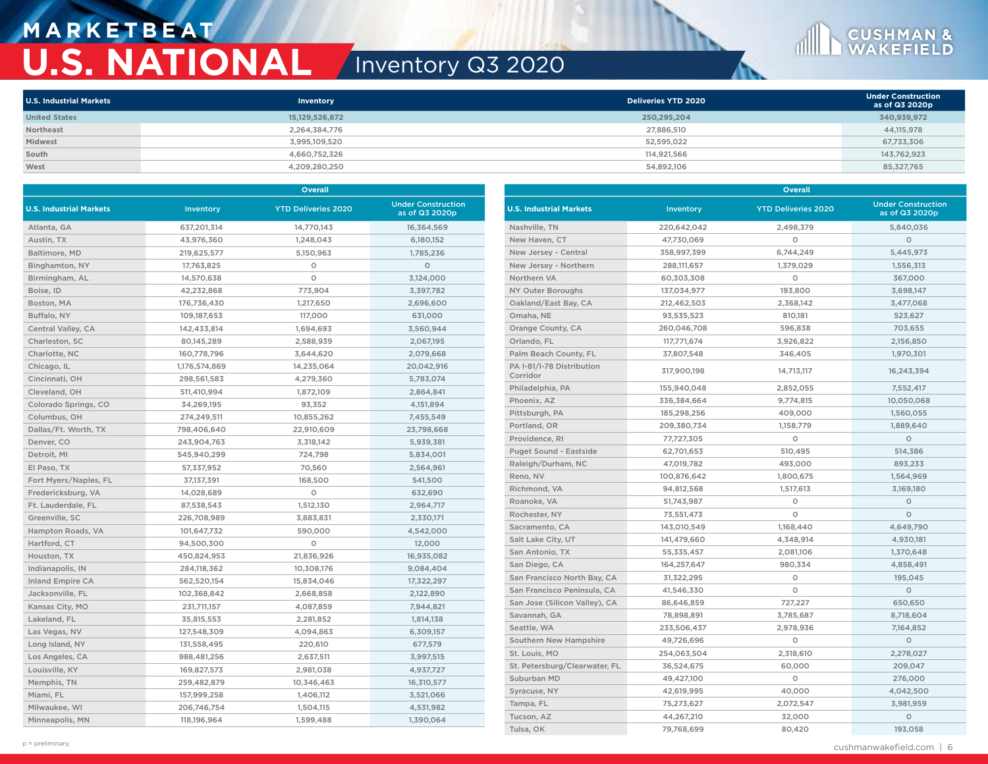## **M A R K E T B E AT U.S. NATIONAL** Inventory Q3 2020

| <b>U.S. Industrial Markets</b> | Inventory      | Deliveries YTD 2020 | <b>Under Construction</b><br>as of Q3 2020p |
|--------------------------------|----------------|---------------------|---------------------------------------------|
| <b>United States</b>           | 15,129,526,872 | 250,295,204         | 340,939,972                                 |
| Northeast                      | 2,264,384,776  | 27,886,510          | 44,115,978                                  |
| Midwest                        | 3,995,109,520  | 52,595,022          | 67,733,306                                  |
| South                          | 4,660,752,326  | 114,921,566         | 143,762,923                                 |
| West                           | 4,209,280,250  | 54,892,106          | 85,327,765                                  |

|                                |               | <b>Overall</b>             |                                             | <b>Overall</b>                 |             |                            |                                             |  |  |
|--------------------------------|---------------|----------------------------|---------------------------------------------|--------------------------------|-------------|----------------------------|---------------------------------------------|--|--|
| <b>U.S. Industrial Markets</b> | Inventory     | <b>YTD Deliveries 2020</b> | <b>Under Construction</b><br>as of Q3 2020p | <b>U.S. Industrial Markets</b> | Inventory   | <b>YTD Deliveries 2020</b> | <b>Under Construction</b><br>as of Q3 2020p |  |  |
| Atlanta, GA                    | 637,201,314   | 14,770,143                 | 16,364,569                                  | Nashville, TN                  | 220,642,042 | 2,498,379                  | 5,840,036                                   |  |  |
| Austin, TX                     | 43,976,360    | 1,248,043                  | 6,180,152                                   | New Haven, CT                  | 47,730,069  | $\circ$                    | $\circ$                                     |  |  |
| Baltimore, MD                  | 219,625,577   | 5,150,963                  | 1,785,236                                   | New Jersey - Central           | 358,997,399 | 6,744,249                  | 5,445,973                                   |  |  |
| Binghamton, NY                 | 17,763,825    | $\circ$                    | $\circ$                                     | New Jersey - Northern          | 288,111,657 | 1,379,029                  | 1,556,313                                   |  |  |
| Birmingham, AL                 | 14,570,638    | $\circ$                    | 3,124,000                                   | Northern VA                    | 60,303,308  | $\circ$                    | 367,000                                     |  |  |
| Boise, ID                      | 42,232,868    | 773,904                    | 3,397,782                                   | NY Outer Boroughs              | 137,034,977 | 193,800                    | 3,698,147                                   |  |  |
| Boston, MA                     | 176,736,430   | 1,217,650                  | 2.696.600                                   | Oakland/East Bay, CA           | 212,462,503 | 2,368,142                  | 3,477,068                                   |  |  |
| Buffalo, NY                    | 109,187,653   | 117,000                    | 631,000                                     | Omaha, NE                      | 93,535,523  | 810,181                    | 523,627                                     |  |  |
| Central Valley, CA             | 142,433,814   | 1,694,693                  | 3,560,944                                   | Orange County, CA              | 260,046,708 | 596,838                    | 703,655                                     |  |  |
| Charleston, SC                 | 80,145,289    | 2,588,939                  | 2,067,195                                   | Orlando, FL                    | 117,771,674 | 3.926.822                  | 2,156,850                                   |  |  |
| Charlotte, NC                  | 160,778,796   | 3,644,620                  | 2,079,668                                   | Palm Beach County, FL          | 37,807,548  | 346,405                    | 1,970,301                                   |  |  |
| Chicago, IL                    | 1,176,574,869 | 14,235,064                 | 20,042,916                                  | PA I-81/I-78 Distribution      | 317,900,198 | 14,713,117                 | 16,243,394                                  |  |  |
| Cincinnati, OH                 | 298,561,583   | 4,279,360                  | 5,783,074                                   | Corridor                       |             |                            |                                             |  |  |
| Cleveland, OH                  | 511,410,994   | 1,872,109                  | 2,864,841                                   | Philadelphia, PA               | 155,940,048 | 2,852,055                  | 7,552,417                                   |  |  |
| Colorado Springs, CO           | 34,269,195    | 93,352                     | 4,151,894                                   | Phoenix, AZ                    | 336,384,664 | 9,774,815                  | 10,050,068                                  |  |  |
| Columbus, OH                   | 274,249,511   | 10,855,262                 | 7,455,549                                   | Pittsburgh, PA                 | 185,298,256 | 409,000                    | 1,560,055                                   |  |  |
| Dallas/Ft. Worth, TX           | 798,406,640   | 22,910,609                 | 23,798,668                                  | Portland, OR                   | 209,380,734 | 1,158,779                  | 1,889,640                                   |  |  |
| Denver, CO                     | 243,904,763   | 3,318,142                  | 5,939,381                                   | Providence, RI                 | 77,727,305  | $\circ$                    | $\circ$                                     |  |  |
| Detroit, MI                    | 545,940,299   | 724,798                    | 5,834,001                                   | Puget Sound - Eastside         | 62,701,653  | 510,495                    | 514,386                                     |  |  |
| El Paso, TX                    | 57,337,952    | 70,560                     | 2,564,961                                   | Raleigh/Durham, NC             | 47,019,782  | 493,000                    | 893,233                                     |  |  |
| Fort Myers/Naples, FL          | 37,137,391    | 168,500                    | 541,500                                     | Reno, NV                       | 100,876,642 | 1,800,675                  | 1,564,969                                   |  |  |
| Fredericksburg, VA             | 14,028,689    | $\circ$                    | 632,690                                     | Richmond, VA                   | 94,812,568  | 1,517,613                  | 3,169,180                                   |  |  |
| Ft. Lauderdale, FL             | 87,538,543    | 1,512,130                  | 2,964,717                                   | Roanoke, VA                    | 51,743,987  | $\circ$                    | $\circ$                                     |  |  |
| Greenville, SC                 | 226,708,989   | 3,883,831                  | 2,330,171                                   | Rochester, NY                  | 73,551,473  | $\circ$                    | $\circ$                                     |  |  |
| Hampton Roads, VA              | 101,647,732   | 590,000                    | 4,542,000                                   | Sacramento, CA                 | 143,010,549 | 1,168,440                  | 4,649,790                                   |  |  |
| Hartford, CT                   | 94,500,300    | $\circ$                    | 12,000                                      | Salt Lake City, UT             | 141,479,660 | 4,348,914                  | 4,930,181                                   |  |  |
| Houston, TX                    | 450,824,953   | 21,836,926                 | 16,935,082                                  | San Antonio, TX                | 55,335,457  | 2,081,106                  | 1,370,648                                   |  |  |
| Indianapolis, IN               | 284,118,362   | 10,308,176                 | 9,084,404                                   | San Diego, CA                  | 164,257,647 | 980,334                    | 4,858,491                                   |  |  |
| <b>Inland Empire CA</b>        | 562,520,154   | 15,834,046                 | 17,322,297                                  | San Francisco North Bay, CA    | 31,322,295  | $\circ$                    | 195,045                                     |  |  |
| Jacksonville, FL               | 102,368,842   | 2,668,858                  | 2,122,890                                   | San Francisco Peninsula, CA    | 41,546,330  | $\circ$                    | $\circ$                                     |  |  |
| Kansas City, MO                | 231,711,157   | 4,087,859                  | 7,944,821                                   | San Jose (Silicon Valley), CA  | 86,646,859  | 727,227                    | 650,650                                     |  |  |
| Lakeland, FL                   | 35,815,553    | 2,281,852                  | 1,814,138                                   | Savannah, GA                   | 78,898,891  | 3,785,687                  | 8.718.604                                   |  |  |
| Las Vegas, NV                  | 127,548,309   | 4,094,863                  | 6,309,157                                   | Seattle, WA                    | 233,506,437 | 2,978,936                  | 7,164,852                                   |  |  |
| Long Island, NY                | 131,558,495   | 220,610                    | 677,579                                     | Southern New Hampshire         | 49,726,696  | $\circ$                    | $\circ$                                     |  |  |
| Los Angeles, CA                | 988,481,256   | 2,637,511                  | 3,997,515                                   | St. Louis, MO                  | 254,063,504 | 2,318,610                  | 2,278,027                                   |  |  |
| Louisville, KY                 | 169,827,573   | 2,981,038                  | 4,937,727                                   | St. Petersburg/Clearwater, FL  | 36,524,675  | 60,000                     | 209,047                                     |  |  |
| Memphis, TN                    | 259,482,879   | 10,346,463                 | 16,310,577                                  | Suburban MD                    | 49,427,100  | $\circ$                    | 276,000                                     |  |  |
| Miami, FL                      | 157,999,258   | 1,406,112                  | 3,521,066                                   | Syracuse, NY                   | 42,619,995  | 40,000                     | 4,042,500                                   |  |  |
| Milwaukee, WI                  | 206,746,754   | 1,504,115                  | 4,531,982                                   | Tampa, FL                      | 75,273,627  | 2,072,547                  | 3,981,959                                   |  |  |
| Minneapolis, MN                | 118,196,964   | 1,599,488                  | 1,390,064                                   | Tucson, AZ                     | 44,267,210  | 32,000                     | $\Omega$                                    |  |  |
|                                |               |                            |                                             | Tulsa, OK                      | 79,768,699  | 80,420                     | 193,058                                     |  |  |